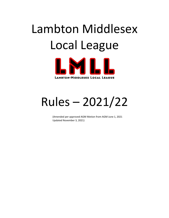# Lambton Middlesex Local League



# Rules – 2021/22

(Amended per approved AGM Motion from AGM June 1, 2021 Updated November 3, 2021)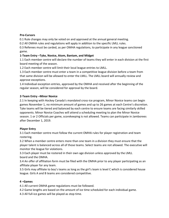# **Pre-Cursors**

0.1 Rule changes may only be voted on and approved at the annual general meeting.

0.2 All OMHA rules and regulations will apply in addition to the specific LMLL rules.

0.3 Referees must be carded, as per OMHA regulations, to participate in any league sanctioned game.

# **1-Team Entry –Tyke, Novice, Atom, Bantam, and Midget**

1.1 Each member centre will declare the number of teams they will enter in each division at the first board meeting of the season.

1.2 Each member centre will limit their local league entries to LMLL.

1.3 Each member centre must enter a team in a competitive league division before a team from that same division will be allowed to enter the LMLL. The LMLL board will annually review and approve exceptions.

1.4 Individual exception entries, approved by the OMHA and received after the beginning of the regular season, will be considered for approval by the board.

# **2-Team Entry –Minor Novice**

2.1 In keeping with Hockey Canada's mandated cross-ice program, Minor Novice teams can begin games November 1, no minimum amount of games and up to 26 games at each Centre's discretion. Tyke teams will be tiered and balanced by each centre to ensure teams are facing similarly skilled opponents. Minor Novice Coaches will attend a scheduling meeting to plan the Minor Novice season. 1 or 2 Officials per game, scorekeeping is not allowed. Teams can participate in Jamborees after December 1, 2019.

# **Player Entry**

3.1 Each member centre must follow the current OMHA rules for player registration and team rostering.

3.2 When a member centre enters more than one team in a division they must ensure that the player talent is balanced across all of those teams. Select teams are not allowed. The executive will monitor the league for violations.

3.3 Each player must be rostered in their own age division unless approved by the LMLL board and the OMHA.

3.4 An offer of affiliation form must be filed with the OMHA prior to any player participating as an affiliate player for any team.

3.5 Girls may affiliate to boy's teams as long as the girl's team is level C which is considered house league. Girls A and B teams are considered competitive.

# **4 –Games**

4.1 All current OMHA game regulations must be followed.

4.2 Game lengths are based on the amount of ice time scheduled for each individual game.

4.3 All full-ice games will be played as stop time.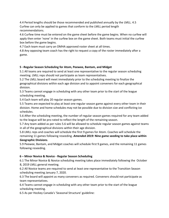4.4 Period lengths should be those recommended and published annually by the LMLL. 4.5 Curfew can only be applied to games that conform to the LMLL period length recommendations.

4.6 Curfew time must be entered on the game sheet before the game begins. When no curfew will apply then enter 'none' in the curfew box on the game sheet. Both teams must initial the curfew box before the game begins.

4.7 Each team must carry an OMHA approved roster sheet at all times.

4.8 Any opposing team coach has the right to request a copy of the roster immediately after a game.

# **5** –**Regular Season Scheduling for Atom, Peewee, Bantam, and Midget**

5.1 All teams are required to send at least one representative to the regular season scheduling meeting. LMLL reps should not participate as team representatives.

5.2 The LMLL board will meet immediately prior to the scheduling meeting to finalize the geographical divisions within each age division and to appoint conveners for each geographical division.

5.3 Teams cannot engage in scheduling with any other team prior to the start of the league scheduling meeting.

5.4 Each team will play 20 regular season games.

5.5 Teams are expected to play at least one regular season game against every other team in their division. Home and home schedules may not be possible due to division size and conflicting ice schedules.

5.6 After the scheduling meeting, the number of regular season games required for any team added to the league will be pro-rated to reflect the length of the remaining season.

5.7 Any team added as per rules 5.6 will be allowed to schedule regular season games against teams in all of the geographical divisions within their age division.

5.8 LMLL reps and coaches will schedule the first 9 games for Atom. Coaches will schedule the remaining 11 games following reseeding. *Amended 2019:* **Nine game seeding to take place within Geographic Divisions**.

5.9 Peewee, Bantam, and Midget coaches will schedule first 9 games, and the remaining 11 games following reseeding.

# **6 – Minor Novice & Novice - Regular Season Scheduling**

6.1 The Minor Novice & Novice scheduling meeting takes place immediately following the October 8, 2019 LMLL general meeting.

6.2 All Novice teams are required to send at least one representative to the Transition Season scheduling meeting January 7, 2020.

6.3 The board will appoint as many conveners as required. Conveners should not participate as team representatives.

6.4 Teams cannot engage in scheduling with any other team prior to the start of the league scheduling meeting.

6.5 As per Hockey Canada's 'Seasonal Structure' guideline: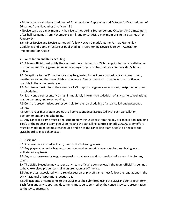• Minor Novice can play a maximum of 4 games during September and October AND a maximum of 26 games from November 1 to March 31

• Novice can play a maximum of 4 half-ice games during September and October AND a maximum of 18 half-ice games from November 1 until January 14 AND a maximum of 8 full-ice games after January 14.

6.6 Minor Novice and Novice games will follow Hockey Canada's Game Format, Game Play Guidelines and Game Structure as published in "Programming Novice & Below –Association Implementation Guide"

# **7 –Cancellation and Re-Scheduling**

7.1 A team official must notify their opposition a minimum of 72 hours prior to the cancellation or postponement of any game. A fine is levied against any centre that does not provide 72 hours notice.

7.2 Exceptions to the 72 hour notice may be granted for incidents caused by arena breakdown, weather or some other unavoidable occurrence. Centres must still provide as much notice as possible in these circumstances.

7.3 Each team must inform their centre's LMLL rep of any game cancellations, postponements and re-scheduling.

7.4 Each centre representative must immediately inform the statistician of any game cancellations, postponements, and re-scheduling.

7.5 Centre representatives are responsible for the re-scheduling of all cancelled and postponed games.

7.6 Centre reps must retain copies of all correspondence associated with each cancellation, postponement, and re-scheduling.

7.7 Any cancelled game must be re-scheduled within 2 weeks from the day of cancellation including TBA's or the opposing team gets 2 points and the cancelling centre is fined\$ 200.00. Every effort must be made to get games rescheduled and if not the cancelling team needs to bring it to the LMLL board to plead their case.

# **8 –Discipline**

8.1 Suspensions incurred will carry over to the following season.

8.2 Any player assessed a league suspension must serve said suspension before playing as an affiliate for any team.

8.3 Any coach assessed a league suspension must serve said suspension before coaching for any team.

8.4 The LMLL Executive may suspend any team official, upon review, if the team official is seen not to have exercised proper control in an arena, on or off the ice.

8.5 Any protest associated with a regular season or playoff game must follow the regulations in the OMHA Manual of Operations, section 15.

8.6 All incidents or complaints to the LMLL must be submitted using the LMLL incident report form. Each form and any supporting documents must be submitted by the centre's LMLL representative to the LMLL Secretary.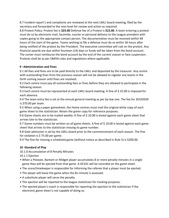8.7 Incident report's and complaints are reviewed at the next LMLL board meeting, filed by the secretary and forwarded to the next level for review and action as required.

8.8 Protest Policy: Protest fee is **\$25.00** Defense fee of a Protest is **\$15.00**. A team entering a protest must do so by electronic mail, facsimile, courier or personal delivery to the League president with copies going to the appropriate contact person. The documentation must be received within 48 hours of the start of the game. Teams wishing to file a defense must do so within 36 hours after being notified of the protest by the President. The executive committee will rule on the protest. Any financial awards are due within fourteen (14) days or funds will be taken from the bond account. The center must reimburse the bond account by the end of the current season or face suspension. Protests shall be as per OMHA rules and regulations where applicable.

# **9 –Administration and Fines**

9.1 All fees and fines are to be paid directly to the LMLL and deposited by the treasurer. Any centre with outstanding fines from the previous season will not be allowed to register any teams in the forth coming season until fines are resolved.

9.2 Each centre must pay all outstanding fees or fines before they are allowed to participate in the following season.

9.3 Each centre must be represented at each LMLL board meeting. A fine of \$25.00 is imposed for each absence.

9.4 The team entry fee is set at the annual general meeting as per by-law one. The fee for 20192020 is \$70.00 per team.

9.5 When using a paper gamesheet, the Home centres must mail the original white copy of each game sheet to the statistician. Retain the green copy for reference purposes.

9.6 Game sheets are to be mailed weekly. A fine of \$ 10.00 is levied against each game sheet that arrives late to the statistician.

9.7 Game numbers must be written on all game sheets. A fine of \$ 10.00 is levied against each game sheet that arrives to the statistician missing its game number.

9.8 Gate admission is set by the LMLL board prior to the commencement of each season. The fine for violation is \$ 75.00 per game.

9.9 The fine for missing a scheduled game (without notice as described in Rule 5) is \$200.00.

# **10 -Standard of Play**

10.1.0 Accumulation of 8 Penalty Minutes

10.1.1 Ejection

- When a Peewee, Bantam or Midget player accumulates 8 or more penalty minutes in a single game they will be ejected from that game. A GE101 will be recorded on the game sheet.
- The score/timekeeper is responsible for informing the referee that a player must be ejected.
- The player will leave the game when the 8th minute is assessed.
- A substitute player will serve the penalty.
- The ejection will be reported to the league statistician for tracking purposes.
- The ejected player's coach is responsible for reporting the ejection to the statistician if the electronic game sheet is not capable of doing so.